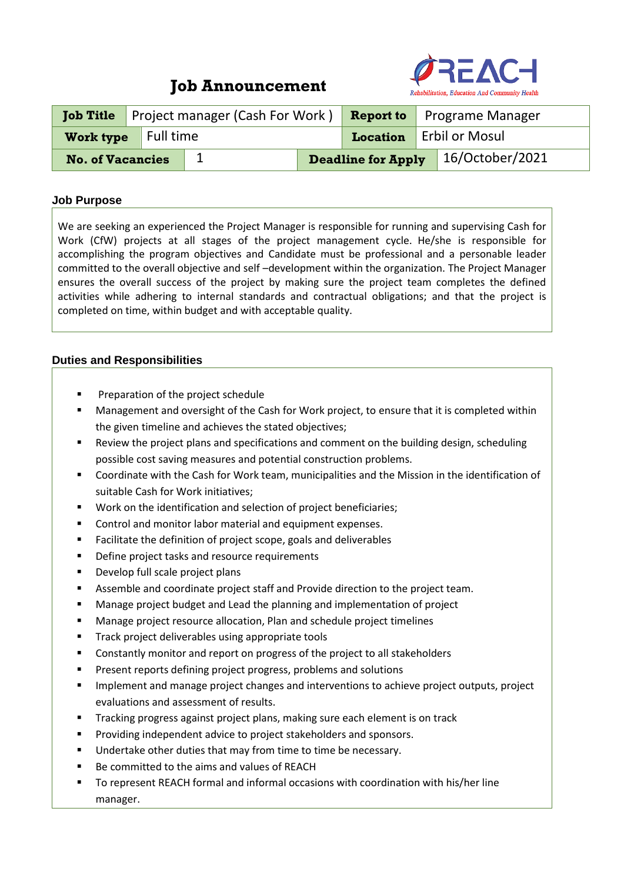# **Job Announcement**



|                         | <b>Job Title</b> Project manager (Cash For Work) |  |  |  | <b>Report to</b> Programe Manager |                                    |  |
|-------------------------|--------------------------------------------------|--|--|--|-----------------------------------|------------------------------------|--|
| Work type Full time     |                                                  |  |  |  | Location   Erbil or Mosul         |                                    |  |
| <b>No. of Vacancies</b> |                                                  |  |  |  |                                   | Deadline for Apply 16/October/2021 |  |

#### **Job Purpose**

We are seeking an experienced the Project Manager is responsible for running and supervising Cash for Work (CfW) projects at all stages of the project management cycle. He/she is responsible for accomplishing the program objectives and Candidate must be professional and a personable leader committed to the overall objective and self –development within the organization. The Project Manager ensures the overall success of the project by making sure the project team completes the defined activities while adhering to internal standards and contractual obligations; and that the project is completed on time, within budget and with acceptable quality.

### **Duties and Responsibilities**

- Preparation of the project schedule
- Management and oversight of the Cash for Work project, to ensure that it is completed within the given timeline and achieves the stated objectives;
- Review the project plans and specifications and comment on the building design, scheduling possible cost saving measures and potential construction problems.
- Coordinate with the Cash for Work team, municipalities and the Mission in the identification of suitable Cash for Work initiatives;
- Work on the identification and selection of project beneficiaries;
- Control and monitor labor material and equipment expenses.
- Facilitate the definition of project scope, goals and deliverables
- Define project tasks and resource requirements
- Develop full scale project plans
- Assemble and coordinate project staff and Provide direction to the project team.
- Manage project budget and Lead the planning and implementation of project
- Manage project resource allocation, Plan and schedule project timelines
- Track project deliverables using appropriate tools
- Constantly monitor and report on progress of the project to all stakeholders
- **■** Present reports defining project progress, problems and solutions
- Implement and manage project changes and interventions to achieve project outputs, project evaluations and assessment of results.
- Tracking progress against project plans, making sure each element is on track
- Providing independent advice to project stakeholders and sponsors.
- Undertake other duties that may from time to time be necessary.
- Be committed to the aims and values of REACH
- To represent REACH formal and informal occasions with coordination with his/her line manager.